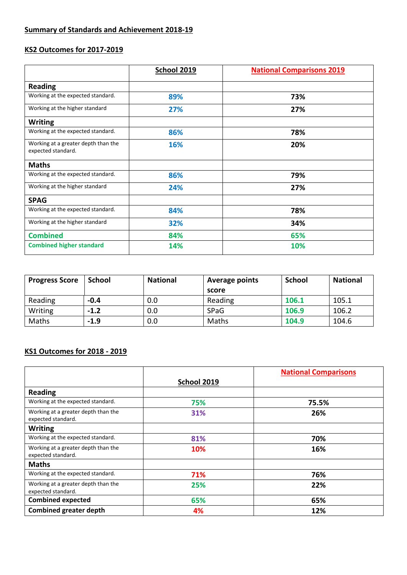# **KS2 Outcomes for 2017-2019**

|                                                           | School 2019 | <b>National Comparisons 2019</b> |  |
|-----------------------------------------------------------|-------------|----------------------------------|--|
| <b>Reading</b>                                            |             |                                  |  |
| Working at the expected standard.                         | 89%         | 73%                              |  |
| Working at the higher standard                            | 27%         | 27%                              |  |
| <b>Writing</b>                                            |             |                                  |  |
| Working at the expected standard.                         | 86%         | 78%                              |  |
| Working at a greater depth than the<br>expected standard. | 16%         | 20%                              |  |
| <b>Maths</b>                                              |             |                                  |  |
| Working at the expected standard.                         | 86%         | 79%                              |  |
| Working at the higher standard                            | 24%         | 27%                              |  |
| <b>SPAG</b>                                               |             |                                  |  |
| Working at the expected standard.                         | 84%         | 78%                              |  |
| Working at the higher standard                            | 32%         | 34%                              |  |
| <b>Combined</b>                                           | 84%         | 65%                              |  |
| <b>Combined higher standard</b>                           | 14%         | 10%                              |  |

| <b>Progress Score</b> | <b>School</b> | <b>National</b> | <b>Average points</b> | School | <b>National</b> |
|-----------------------|---------------|-----------------|-----------------------|--------|-----------------|
|                       |               |                 | score                 |        |                 |
| Reading               | $-0.4$        | 0.0             | Reading               | 106.1  | 105.1           |
| Writing               | $-1.2$        | 0.0             | <b>SPaG</b>           | 106.9  | 106.2           |
| Maths                 | $-1.9$        | 0.0             | Maths                 | 104.9  | 104.6           |

## **KS1 Outcomes for 2018 - 2019**

|                                                           |             | <b>National Comparisons</b> |
|-----------------------------------------------------------|-------------|-----------------------------|
|                                                           | School 2019 |                             |
| <b>Reading</b>                                            |             |                             |
| Working at the expected standard.                         | 75%         | 75.5%                       |
| Working at a greater depth than the<br>expected standard. | 31%         | 26%                         |
| <b>Writing</b>                                            |             |                             |
| Working at the expected standard.                         | 81%         | 70%                         |
| Working at a greater depth than the<br>expected standard. | 10%         | 16%                         |
| <b>Maths</b>                                              |             |                             |
| Working at the expected standard.                         | 71%         | 76%                         |
| Working at a greater depth than the<br>expected standard. | 25%         | 22%                         |
| <b>Combined expected</b>                                  | 65%         | 65%                         |
| <b>Combined greater depth</b>                             | 4%          | 12%                         |